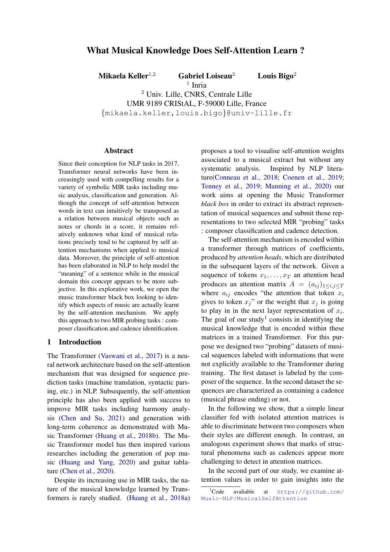# What Musical Knowledge Does Self-Attention Learn ?

Mikaela Keller<sup>1,2</sup> Gabriel Loiseau<sup>2</sup> Louis Bigo<sup>2</sup>

<sup>1</sup> Inria

<sup>2</sup> Univ. Lille, CNRS, Centrale Lille UMR 9189 CRIStAL, F-59000 Lille, France

{mikaela.keller,louis.bigo}@univ-lille.fr

#### Abstract

Since their conception for NLP tasks in 2017, Transformer neural networks have been increasingly used with compelling results for a variety of symbolic MIR tasks including music analysis, classification and generation. Although the concept of self-attention between words in text can intuitively be transposed as a relation between musical objects such as notes or chords in a score, it remains relatively unknown what kind of musical relations precisely tend to be captured by self attention mechanisms when applied to musical data. Moreover, the principle of self-attention has been elaborated in NLP to help model the "meaning" of a sentence while in the musical domain this concept appears to be more subjective. In this explorative work, we open the music transformer black box looking to identify which aspects of music are actually learnt by the self-attention mechanism. We apply this approach to two MIR probing tasks : composer classification and cadence identification.

### 1 Introduction

The Transformer [\(Vaswani et al.,](#page-4-0) [2017\)](#page-4-0) is a neural network architecture based on the self-attention mechanism that was designed for sequence prediction tasks (machine translation, syntactic parsing, etc.) in NLP. Subsequently, the self-attention principle has also been applied with success to improve MIR tasks including harmony analysis [\(Chen and Su,](#page-4-1) [2021\)](#page-4-1) and generation with long-term coherence as demonstrated with Music Transformer [\(Huang et al.,](#page-4-2) [2018b\)](#page-4-2). The Music Transformer model has then inspired various researches including the generation of pop music [\(Huang and Yang,](#page-4-3) [2020\)](#page-4-3) and guitar tablature [\(Chen et al.,](#page-4-4) [2020\)](#page-4-4).

Despite its increasing use in MIR tasks, the nature of the musical knowledge learned by Transformers is rarely studied. [\(Huang et al.,](#page-4-5) [2018a\)](#page-4-5)

proposes a tool to visualise self-attention weights associated to a musical extract but without any systematic analysis. Inspired by NLP literature[\(Conneau et al.,](#page-4-6) [2018;](#page-4-6) [Coenen et al.,](#page-4-7) [2019;](#page-4-7) [Tenney et al.,](#page-4-8) [2019;](#page-4-8) [Manning et al.,](#page-4-9) [2020\)](#page-4-9) our work aims at opening the Music Transformer *black box* in order to extract its abstract representation of musical sequences and submit those representations to two selected MIR "probing" tasks : composer classification and cadence detection.

The self-attention mechanism is encoded within a transformer through matrices of coefficients, produced by *attention heads*, which are distributed in the subsequent layers of the network. Given a sequence of tokens  $x_1, \ldots, x_T$  an attention head produces an attention matrix  $A = (a_{ij})_{1 \le i,j \le T}$ where  $a_{ij}$  encodes "the attention that token  $x_i$ gives to token  $x_j$ " or the weight that  $x_j$  is going to play in in the next layer representation of  $x_i$ . The goal of our study<sup>[1](#page-0-0)</sup> consists in identifying the musical knowledge that is encoded within these matrices in a trained Transformer. For this purpose we designed two "probing" datasets of musical sequences labeled with informations that were not explicitly available to the Transformer during training. The first dataset is labeled by the composer of the sequence. In the second dataset the sequences are characterized as containing a cadence (musical phrase ending) or not.

In the following we show, that a simple linear classifier fed with isolated attention matrices is able to discriminate between two composers when their styles are different enough. In contrast, an analogous experiment shows that marks of structural phenomena such as cadences appear more challenging to detect in attention matrices.

In the second part of our study, we examine attention values in order to gain insights into the

<span id="page-0-0"></span><sup>&</sup>lt;sup>1</sup>Code avaliable at [https://github.com/](https://github.com/Music-NLP/MusicalSelfAttention) [Music-NLP/MusicalSelfAttention](https://github.com/Music-NLP/MusicalSelfAttention)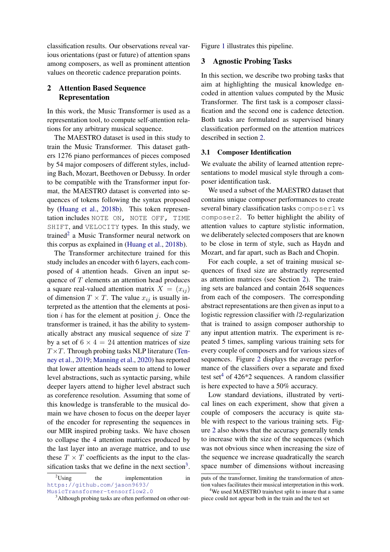classification results. Our observations reveal various orientations (past or future) of attention spans among composers, as well as prominent attention values on theoretic cadence preparation points.

# <span id="page-1-2"></span>2 Attention Based Sequence Representation

In this work, the Music Transformer is used as a representation tool, to compute self-attention relations for any arbitrary musical sequence.

The MAESTRO dataset is used in this study to train the Music Transformer. This dataset gathers 1276 piano performances of pieces composed by 54 major composers of different styles, including Bach, Mozart, Beethoven or Debussy. In order to be compatible with the Transformer input format, the MAESTRO dataset is converted into sequences of tokens following the syntax proposed by [\(Huang et al.,](#page-4-2) [2018b\)](#page-4-2). This token representation includes NOTE ON, NOTE OFF, TIME SHIFT, and VELOCITY types. In this study, we trained<sup>[2](#page-1-0)</sup> a Music Transformer neural network on this corpus as explained in [\(Huang et al.,](#page-4-2) [2018b\)](#page-4-2).

The Transformer architecture trained for this study includes an encoder with 6 layers, each composed of 4 attention heads. Given an input sequence of T elements an attention head produces a square real-valued attention matrix  $X = (x_{ij})$ of dimension  $T \times T$ . The value  $x_{ij}$  is usually interpreted as the attention that the elements at position  $i$  has for the element at position  $j$ . Once the transformer is trained, it has the ability to systematically abstract any musical sequence of size T by a set of  $6 \times 4 = 24$  attention matrices of size  $T \times T$ . Through probing tasks NLP literature [\(Ten](#page-4-8)[ney et al.,](#page-4-8) [2019;](#page-4-8) [Manning et al.,](#page-4-9) [2020\)](#page-4-9) has reported that lower attention heads seem to attend to lower level abstractions, such as syntactic parsing, while deeper layers attend to higher level abstract such as coreference resolution. Assuming that some of this knowledge is transferable to the musical domain we have chosen to focus on the deeper layer of the encoder for representing the sequences in our MIR inspired probing tasks. We have chosen to collapse the 4 attention matrices produced by the last layer into an average matrice, and to use these  $T \times T$  coefficients as the input to the clas-sification tasks that we define in the next section<sup>[3](#page-1-1)</sup>.

<span id="page-1-0"></span> $2^2$ Using the implementation in [https://github.com/jason9693/](https://github.com/jason9693/MusicTransformer-tensorflow2.0) [MusicTransformer-tensorflow2.0](https://github.com/jason9693/MusicTransformer-tensorflow2.0)

Figure [1](#page-2-0) illustrates this pipeline.

## 3 Agnostic Probing Tasks

In this section, we describe two probing tasks that aim at highlighting the musical knowledge encoded in attention values computed by the Music Transformer. The first task is a composer classification and the second one is cadence detection. Both tasks are formulated as supervised binary classification performed on the attention matrices described in section [2.](#page-1-2)

#### 3.1 Composer Identification

We evaluate the ability of learned attention representations to model musical style through a composer identification task.

We used a subset of the MAESTRO dataset that contains unique composer performances to create several binary classification tasks composer1 vs composer2. To better highlight the ability of attention values to capture stylistic information, we deliberately selected composers that are known to be close in term of style, such as Haydn and Mozart, and far apart, such as Bach and Chopin.

For each couple, a set of training musical sequences of fixed size are abstractly represented as attention matrices (see Section [2\)](#page-1-2). The training sets are balanced and contain 2648 sequences from each of the composers. The corresponding abstract representations are then given as input to a logistic regression classifier with l2-regularization that is trained to assign composer authorship to any input attention matrix. The experiment is repeated 5 times, sampling various training sets for every couple of composers and for various sizes of sequences. Figure [2](#page-2-1) displays the average performance of the classifiers over a separate and fixed test set<sup>[4](#page-1-3)</sup> of 426<sup> $\ast$ </sup>2 sequences. A random classifier is here expected to have a 50% accuracy.

Low standard deviations, illustrated by vertical lines on each experiment, show that given a couple of composers the accuracy is quite stable with respect to the various training sets. Figure [2](#page-2-1) also shows that the accuracy generally tends to increase with the size of the sequences (which was not obvious since when increasing the size of the sequence we increase quadratically the search space number of dimensions without increasing

<span id="page-1-1"></span><sup>&</sup>lt;sup>3</sup>Although probing tasks are often performed on other out-

puts of the transformer, limiting the transformation of attention values facilitates their musical interpretation in this work.

<span id="page-1-3"></span><sup>&</sup>lt;sup>4</sup>We used MAESTRO train/test split to insure that a same piece could not appear both in the train and the test set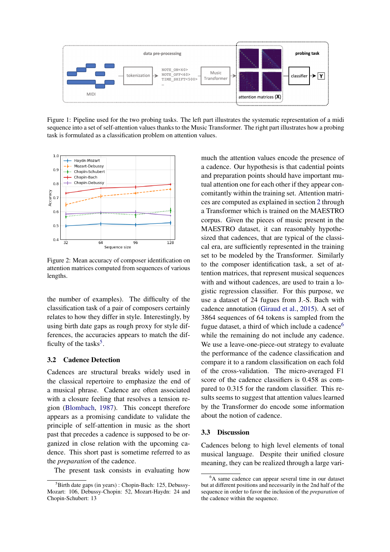<span id="page-2-0"></span>

Figure 1: Pipeline used for the two probing tasks. The left part illustrates the systematic representation of a midi sequence into a set of self-attention values thanks to the Music Transformer. The right part illustrates how a probing task is formulated as a classification problem on attention values.

<span id="page-2-1"></span>

Figure 2: Mean accuracy of composer identification on attention matrices computed from sequences of various lengths.

the number of examples). The difficulty of the classification task of a pair of composers certainly relates to how they differ in style. Interestingly, by using birth date gaps as rough proxy for style differences, the accuracies appears to match the dif-ficulty of the tasks<sup>[5](#page-2-2)</sup>.

### 3.2 Cadence Detection

Cadences are structural breaks widely used in the classical repertoire to emphasize the end of a musical phrase. Cadence are often associated with a closure feeling that resolves a tension region [\(Blombach,](#page-4-10) [1987\)](#page-4-10). This concept therefore appears as a promising candidate to validate the principle of self-attention in music as the short past that precedes a cadence is supposed to be organized in close relation with the upcoming cadence. This short past is sometime referred to as the *preparation* of the cadence.

The present task consists in evaluating how

much the attention values encode the presence of a cadence. Our hypothesis is that cadential points and preparation points should have important mutual attention one for each other if they appear concomitantly within the training set. Attention matrices are computed as explained in section [2](#page-1-2) through a Transformer which is trained on the MAESTRO corpus. Given the pieces of music present in the MAESTRO dataset, it can reasonably hypothesized that cadences, that are typical of the classical era, are sufficiently represented in the training set to be modeled by the Transformer. Similarly to the composer identification task, a set of attention matrices, that represent musical sequences with and without cadences, are used to train a logistic regression classifier. For this purpose, we use a dataset of 24 fugues from J.-S. Bach with cadence annotation [\(Giraud et al.,](#page-4-11) [2015\)](#page-4-11). A set of 3864 sequences of 64 tokens is sampled from the fugue dataset, a third of which include a cadence<sup>[6](#page-2-3)</sup> while the remaining do not include any cadence. We use a leave-one-piece-out strategy to evaluate the performance of the cadence classification and compare it to a random classification on each fold of the cross-validation. The micro-averaged F1 score of the cadence classifiers is 0.458 as compared to 0.315 for the random classifier. This results seems to suggest that attention values learned by the Transformer do encode some information about the notion of cadence.

#### 3.3 Discussion

Cadences belong to high level elements of tonal musical language. Despite their unified closure meaning, they can be realized through a large vari-

<span id="page-2-2"></span><sup>&</sup>lt;sup>5</sup>Birth date gaps (in years) : Chopin-Bach: 125, Debussy-Mozart: 106, Debussy-Chopin: 52, Mozart-Haydn: 24 and Chopin-Schubert: 13

<span id="page-2-3"></span><sup>&</sup>lt;sup>6</sup>A same cadence can appear several time in our dataset but at different positions and necessarily in the 2nd half of the sequence in order to favor the inclusion of the *preparation* of the cadence within the sequence.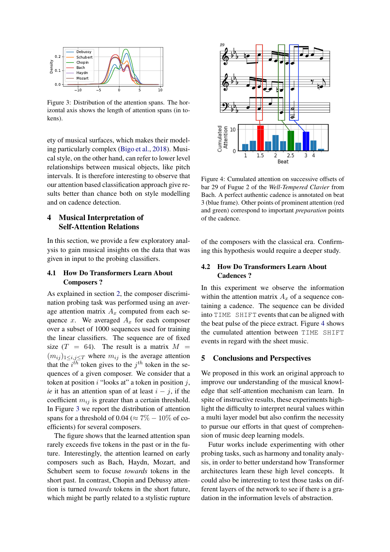<span id="page-3-0"></span>

Figure 3: Distribution of the attention spans. The horizontal axis shows the length of attention spans (in tokens).

ety of musical surfaces, which makes their modeling particularly complex [\(Bigo et al.,](#page-4-12) [2018\)](#page-4-12). Musical style, on the other hand, can refer to lower level relationships between musical objects, like pitch intervals. It is therefore interesting to observe that our attention based classification approach give results better than chance both on style modelling and on cadence detection.

# 4 Musical Interpretation of Self-Attention Relations

In this section, we provide a few exploratory analysis to gain musical insights on the data that was given in input to the probing classifiers.

## 4.1 How Do Transformers Learn About Composers ?

As explained in section [2,](#page-1-2) the composer discrimination probing task was performed using an average attention matrix  $A_x$  computed from each sequence x. We averaged  $A_x$  for each composer over a subset of 1000 sequences used for training the linear classifiers. The sequence are of fixed size  $(T = 64)$ . The result is a matrix  $M =$  $(m_{ij})_{1\leq i,j\leq T}$  where  $m_{ij}$  is the average attention that the  $i^{th}$  token gives to the  $j^{th}$  token in the sequences of a given composer. We consider that a token at position  $i$  "looks at" a token in position  $j$ , *ie* it has an attention span of at least  $i - j$ , if the coefficient  $m_{ij}$  is greater than a certain threshold. In Figure [3](#page-3-0) we report the distribution of attention spans for a threshold of 0.04 ( $\approx 7\% - 10\%$  of coefficients) for several composers.

The figure shows that the learned attention span rarely exceeds five tokens in the past or in the future. Interestingly, the attention learned on early composers such as Bach, Haydn, Mozart, and Schubert seem to focuse *towards* tokens in the short past. In contrast, Chopin and Debussy attention is turned *towards* tokens in the short future, which might be partly related to a stylistic rupture

<span id="page-3-1"></span>

Figure 4: Cumulated attention on successive offsets of bar 29 of Fugue 2 of the *Well-Tempered Clavier* from Bach. A perfect authentic cadence is annotated on beat 3 (blue frame). Other points of prominent attention (red and green) correspond to important *preparation* points of the cadence.

of the composers with the classical era. Confirming this hypothesis would require a deeper study.

# 4.2 How Do Transformers Learn About Cadences ?

In this experiment we observe the information within the attention matrix  $A_x$  of a sequence containing a cadence. The sequence can be divided into TIME SHIFT events that can be aligned with the beat pulse of the piece extract. Figure [4](#page-3-1) shows the cumulated attention between TIME SHIFT events in regard with the sheet music.

## 5 Conclusions and Perspectives

We proposed in this work an original approach to improve our understanding of the musical knowledge that self-attention mechanism can learn. In spite of instructive results, these experiments highlight the difficulty to interpret neural values within a multi layer model but also confirm the necessity to pursue our efforts in that quest of comprehension of music deep learning models.

Futur works include experimenting with other probing tasks, such as harmony and tonality analysis, in order to better understand how Transformer architectures learn these high level concepts. It could also be interesting to test those tasks on different layers of the network to see if there is a gradation in the information levels of abstraction.